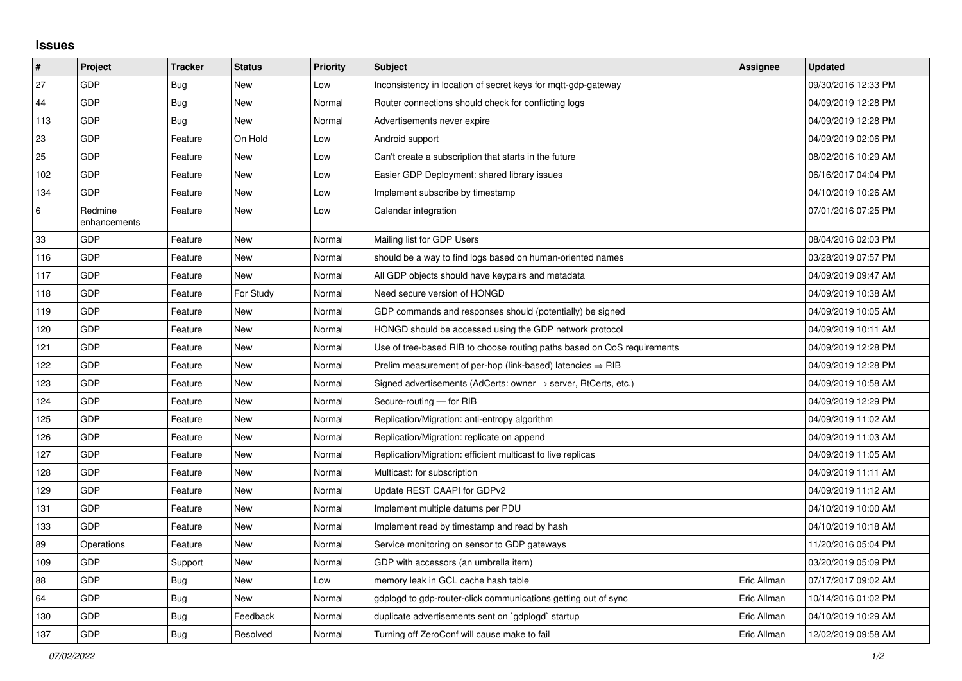## **Issues**

| #   | Project                 | <b>Tracker</b> | <b>Status</b> | <b>Priority</b> | <b>Subject</b>                                                             | Assignee    | <b>Updated</b>      |
|-----|-------------------------|----------------|---------------|-----------------|----------------------------------------------------------------------------|-------------|---------------------|
| 27  | <b>GDP</b>              | Bug            | <b>New</b>    | Low             | Inconsistency in location of secret keys for mgtt-gdp-gateway              |             | 09/30/2016 12:33 PM |
| 44  | GDP                     | Bug            | <b>New</b>    | Normal          | Router connections should check for conflicting logs                       |             | 04/09/2019 12:28 PM |
| 113 | GDP                     | Bug            | <b>New</b>    | Normal          | Advertisements never expire                                                |             | 04/09/2019 12:28 PM |
| 23  | GDP                     | Feature        | On Hold       | Low             | Android support                                                            |             | 04/09/2019 02:06 PM |
| 25  | GDP                     | Feature        | New           | Low             | Can't create a subscription that starts in the future                      |             | 08/02/2016 10:29 AM |
| 102 | GDP                     | Feature        | New           | Low             | Easier GDP Deployment: shared library issues                               |             | 06/16/2017 04:04 PM |
| 134 | GDP                     | Feature        | <b>New</b>    | Low             | Implement subscribe by timestamp                                           |             | 04/10/2019 10:26 AM |
| 6   | Redmine<br>enhancements | Feature        | New           | Low             | Calendar integration                                                       |             | 07/01/2016 07:25 PM |
| 33  | GDP                     | Feature        | New           | Normal          | Mailing list for GDP Users                                                 |             | 08/04/2016 02:03 PM |
| 116 | GDP                     | Feature        | <b>New</b>    | Normal          | should be a way to find logs based on human-oriented names                 |             | 03/28/2019 07:57 PM |
| 117 | GDP                     | Feature        | <b>New</b>    | Normal          | All GDP objects should have keypairs and metadata                          |             | 04/09/2019 09:47 AM |
| 118 | GDP                     | Feature        | For Study     | Normal          | Need secure version of HONGD                                               |             | 04/09/2019 10:38 AM |
| 119 | GDP                     | Feature        | <b>New</b>    | Normal          | GDP commands and responses should (potentially) be signed                  |             | 04/09/2019 10:05 AM |
| 120 | GDP                     | Feature        | <b>New</b>    | Normal          | HONGD should be accessed using the GDP network protocol                    |             | 04/09/2019 10:11 AM |
| 121 | GDP                     | Feature        | <b>New</b>    | Normal          | Use of tree-based RIB to choose routing paths based on QoS requirements    |             | 04/09/2019 12:28 PM |
| 122 | GDP                     | Feature        | <b>New</b>    | Normal          | Prelim measurement of per-hop (link-based) latencies $\Rightarrow$ RIB     |             | 04/09/2019 12:28 PM |
| 123 | GDP                     | Feature        | <b>New</b>    | Normal          | Signed advertisements (AdCerts: owner $\rightarrow$ server, RtCerts, etc.) |             | 04/09/2019 10:58 AM |
| 124 | GDP                     | Feature        | <b>New</b>    | Normal          | Secure-routing - for RIB                                                   |             | 04/09/2019 12:29 PM |
| 125 | GDP                     | Feature        | New           | Normal          | Replication/Migration: anti-entropy algorithm                              |             | 04/09/2019 11:02 AM |
| 126 | GDP                     | Feature        | <b>New</b>    | Normal          | Replication/Migration: replicate on append                                 |             | 04/09/2019 11:03 AM |
| 127 | GDP                     | Feature        | New           | Normal          | Replication/Migration: efficient multicast to live replicas                |             | 04/09/2019 11:05 AM |
| 128 | GDP                     | Feature        | New           | Normal          | Multicast: for subscription                                                |             | 04/09/2019 11:11 AM |
| 129 | GDP                     | Feature        | <b>New</b>    | Normal          | Update REST CAAPI for GDPv2                                                |             | 04/09/2019 11:12 AM |
| 131 | GDP                     | Feature        | <b>New</b>    | Normal          | Implement multiple datums per PDU                                          |             | 04/10/2019 10:00 AM |
| 133 | GDP                     | Feature        | <b>New</b>    | Normal          | Implement read by timestamp and read by hash                               |             | 04/10/2019 10:18 AM |
| 89  | Operations              | Feature        | <b>New</b>    | Normal          | Service monitoring on sensor to GDP gateways                               |             | 11/20/2016 05:04 PM |
| 109 | GDP                     | Support        | New           | Normal          | GDP with accessors (an umbrella item)                                      |             | 03/20/2019 05:09 PM |
| 88  | GDP                     | <b>Bug</b>     | <b>New</b>    | Low             | memory leak in GCL cache hash table                                        | Eric Allman | 07/17/2017 09:02 AM |
| 64  | GDP                     | <b>Bug</b>     | <b>New</b>    | Normal          | gdplogd to gdp-router-click communications getting out of sync             | Eric Allman | 10/14/2016 01:02 PM |
| 130 | GDP                     | Bug            | Feedback      | Normal          | duplicate advertisements sent on `gdplogd` startup                         | Eric Allman | 04/10/2019 10:29 AM |
| 137 | GDP                     | <b>Bug</b>     | Resolved      | Normal          | Turning off ZeroConf will cause make to fail                               | Eric Allman | 12/02/2019 09:58 AM |